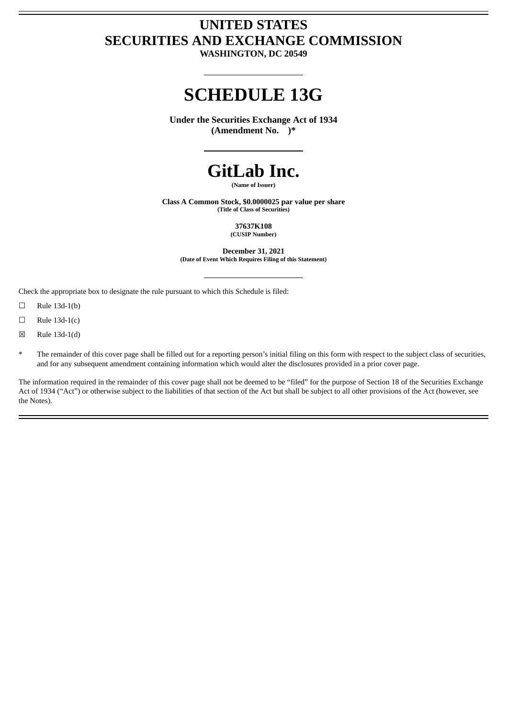## **UNITED STATES SECURITIES AND EXCHANGE COMMISSION**

**WASHINGTON, DC 20549**

## **SCHEDULE 13G**

**Under the Securities Exchange Act of 1934 (Amendment No. )\***



**(Name of Issuer)**

**Class A Common Stock, \$0.0000025 par value per share (Title of Class of Securities)**

> **37637K108 (CUSIP Number)**

**December 31, 2021 (Date of Event Which Requires Filing of this Statement)**

Check the appropriate box to designate the rule pursuant to which this Schedule is filed:

 $\Box$  Rule 13d-1(b)

 $\Box$  Rule 13d-1(c)

 $\boxtimes$  Rule 13d-1(d)

The remainder of this cover page shall be filled out for a reporting person's initial filing on this form with respect to the subject class of securities, and for any subsequent amendment containing information which would alter the disclosures provided in a prior cover page.

The information required in the remainder of this cover page shall not be deemed to be "filed" for the purpose of Section 18 of the Securities Exchange Act of 1934 ("Act") or otherwise subject to the liabilities of that section of the Act but shall be subject to all other provisions of the Act (however, see the Notes).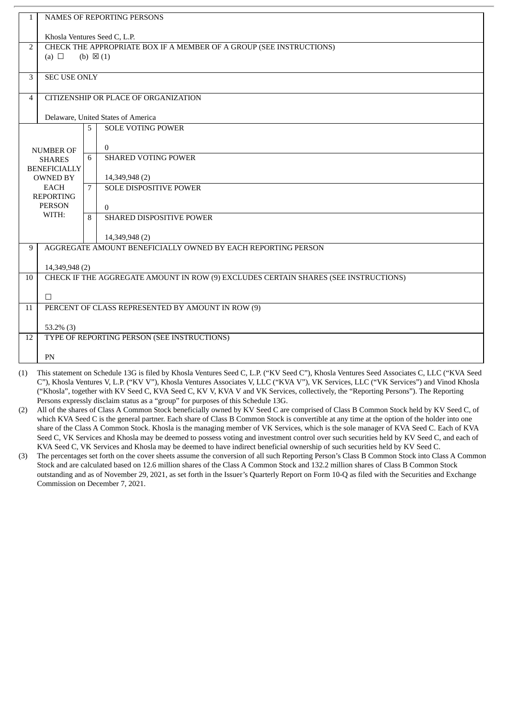| $\mathbf{1}$   | NAMES OF REPORTING PERSONS                                                                               |   |                                                                                                                                                          |  |  |  |  |  |
|----------------|----------------------------------------------------------------------------------------------------------|---|----------------------------------------------------------------------------------------------------------------------------------------------------------|--|--|--|--|--|
|                |                                                                                                          |   |                                                                                                                                                          |  |  |  |  |  |
| $\overline{2}$ | Khosla Ventures Seed C, L.P.                                                                             |   |                                                                                                                                                          |  |  |  |  |  |
|                | CHECK THE APPROPRIATE BOX IF A MEMBER OF A GROUP (SEE INSTRUCTIONS)<br>(a) $\Box$<br>(b) $\boxtimes$ (1) |   |                                                                                                                                                          |  |  |  |  |  |
|                |                                                                                                          |   |                                                                                                                                                          |  |  |  |  |  |
| 3              | <b>SEC USE ONLY</b>                                                                                      |   |                                                                                                                                                          |  |  |  |  |  |
|                |                                                                                                          |   |                                                                                                                                                          |  |  |  |  |  |
| $\overline{4}$ |                                                                                                          |   | CITIZENSHIP OR PLACE OF ORGANIZATION                                                                                                                     |  |  |  |  |  |
|                |                                                                                                          |   |                                                                                                                                                          |  |  |  |  |  |
|                |                                                                                                          |   | Delaware, United States of America                                                                                                                       |  |  |  |  |  |
|                |                                                                                                          | 5 | <b>SOLE VOTING POWER</b>                                                                                                                                 |  |  |  |  |  |
|                |                                                                                                          |   |                                                                                                                                                          |  |  |  |  |  |
|                | <b>NUMBER OF</b>                                                                                         | 6 | $\overline{0}$<br><b>SHARED VOTING POWER</b>                                                                                                             |  |  |  |  |  |
|                | <b>SHARES</b>                                                                                            |   |                                                                                                                                                          |  |  |  |  |  |
|                | <b>BENEFICIALLY</b><br><b>OWNED BY</b>                                                                   |   | 14,349,948 (2)                                                                                                                                           |  |  |  |  |  |
|                | <b>EACH</b>                                                                                              | 7 | <b>SOLE DISPOSITIVE POWER</b>                                                                                                                            |  |  |  |  |  |
|                | <b>REPORTING</b>                                                                                         |   |                                                                                                                                                          |  |  |  |  |  |
|                | <b>PERSON</b>                                                                                            |   | $\overline{0}$                                                                                                                                           |  |  |  |  |  |
|                | WITH:                                                                                                    |   | SHARED DISPOSITIVE POWER                                                                                                                                 |  |  |  |  |  |
|                |                                                                                                          |   |                                                                                                                                                          |  |  |  |  |  |
|                | 14,349,948 (2)                                                                                           |   |                                                                                                                                                          |  |  |  |  |  |
|                | AGGREGATE AMOUNT BENEFICIALLY OWNED BY EACH REPORTING PERSON<br>9                                        |   |                                                                                                                                                          |  |  |  |  |  |
|                | 14,349,948 (2)                                                                                           |   |                                                                                                                                                          |  |  |  |  |  |
| 10             | CHECK IF THE AGGREGATE AMOUNT IN ROW (9) EXCLUDES CERTAIN SHARES (SEE INSTRUCTIONS)                      |   |                                                                                                                                                          |  |  |  |  |  |
|                |                                                                                                          |   |                                                                                                                                                          |  |  |  |  |  |
|                | $\Box$                                                                                                   |   |                                                                                                                                                          |  |  |  |  |  |
| 11             | PERCENT OF CLASS REPRESENTED BY AMOUNT IN ROW (9)                                                        |   |                                                                                                                                                          |  |  |  |  |  |
|                |                                                                                                          |   |                                                                                                                                                          |  |  |  |  |  |
|                | $53.2\%$ (3)                                                                                             |   |                                                                                                                                                          |  |  |  |  |  |
| 12             |                                                                                                          |   | TYPE OF REPORTING PERSON (SEE INSTRUCTIONS)                                                                                                              |  |  |  |  |  |
|                | PN                                                                                                       |   |                                                                                                                                                          |  |  |  |  |  |
|                |                                                                                                          |   |                                                                                                                                                          |  |  |  |  |  |
| (1)            |                                                                                                          |   | This statement on Schedule 13G is filed by Khosla Ventures Seed C, L.P. ("KV Seed C"), Khosla Ventures Seed Associates C, LLC ("KVA Seed<br>$\mathbf{r}$ |  |  |  |  |  |

C"), Khosla Ventures V, L.P. ("KV V"), Khosla Ventures Associates V, LLC ("KVA V"), VK Services, LLC ("VK Services") and Vinod Khosla ("Khosla", together with KV Seed C, KVA Seed C, KV V, KVA V and VK Services, collectively, the "Reporting Persons"). The Reporting Persons expressly disclaim status as a "group" for purposes of this Schedule 13G.

(2) All of the shares of Class A Common Stock beneficially owned by KV Seed C are comprised of Class B Common Stock held by KV Seed C, of which KVA Seed C is the general partner. Each share of Class B Common Stock is convertible at any time at the option of the holder into one share of the Class A Common Stock. Khosla is the managing member of VK Services, which is the sole manager of KVA Seed C. Each of KVA Seed C, VK Services and Khosla may be deemed to possess voting and investment control over such securities held by KV Seed C, and each of KVA Seed C, VK Services and Khosla may be deemed to have indirect beneficial ownership of such securities held by KV Seed C.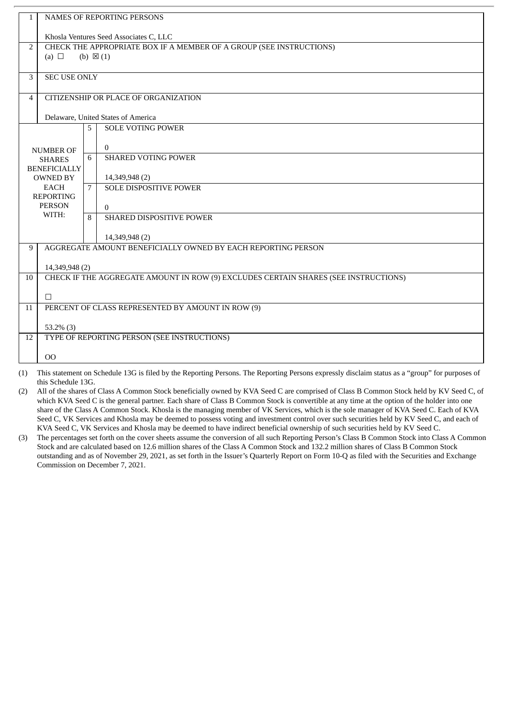| $\mathbf{1}$   | <b>NAMES OF REPORTING PERSONS</b>                                                                        |   |                                                                                                                                                |  |  |  |
|----------------|----------------------------------------------------------------------------------------------------------|---|------------------------------------------------------------------------------------------------------------------------------------------------|--|--|--|
|                | Khosla Ventures Seed Associates C, LLC                                                                   |   |                                                                                                                                                |  |  |  |
| $\overline{2}$ | CHECK THE APPROPRIATE BOX IF A MEMBER OF A GROUP (SEE INSTRUCTIONS)<br>(a) $\Box$<br>(b) $\boxtimes$ (1) |   |                                                                                                                                                |  |  |  |
|                |                                                                                                          |   |                                                                                                                                                |  |  |  |
| 3              | <b>SEC USE ONLY</b>                                                                                      |   |                                                                                                                                                |  |  |  |
| $\overline{4}$ | CITIZENSHIP OR PLACE OF ORGANIZATION                                                                     |   |                                                                                                                                                |  |  |  |
|                |                                                                                                          |   | Delaware, United States of America                                                                                                             |  |  |  |
|                |                                                                                                          | 5 | <b>SOLE VOTING POWER</b>                                                                                                                       |  |  |  |
|                | <b>NUMBER OF</b>                                                                                         |   | $\mathbf{0}$                                                                                                                                   |  |  |  |
|                | <b>SHARES</b>                                                                                            | 6 | <b>SHARED VOTING POWER</b>                                                                                                                     |  |  |  |
|                | <b>BENEFICIALLY</b><br><b>OWNED BY</b>                                                                   |   | 14, 349, 948 (2)                                                                                                                               |  |  |  |
|                | <b>EACH</b><br><b>REPORTING</b>                                                                          |   | <b>SOLE DISPOSITIVE POWER</b>                                                                                                                  |  |  |  |
|                | <b>PERSON</b>                                                                                            |   | $\Omega$                                                                                                                                       |  |  |  |
|                | WITH:                                                                                                    |   | SHARED DISPOSITIVE POWER                                                                                                                       |  |  |  |
|                |                                                                                                          |   | 14,349,948 (2)                                                                                                                                 |  |  |  |
| 9              |                                                                                                          |   | AGGREGATE AMOUNT BENEFICIALLY OWNED BY EACH REPORTING PERSON                                                                                   |  |  |  |
|                | 14,349,948 (2)                                                                                           |   |                                                                                                                                                |  |  |  |
| 10             |                                                                                                          |   | CHECK IF THE AGGREGATE AMOUNT IN ROW (9) EXCLUDES CERTAIN SHARES (SEE INSTRUCTIONS)                                                            |  |  |  |
|                | $\Box$                                                                                                   |   |                                                                                                                                                |  |  |  |
| 11             | PERCENT OF CLASS REPRESENTED BY AMOUNT IN ROW (9)                                                        |   |                                                                                                                                                |  |  |  |
|                | $53.2\%$ (3)                                                                                             |   |                                                                                                                                                |  |  |  |
| 12             |                                                                                                          |   | TYPE OF REPORTING PERSON (SEE INSTRUCTIONS)                                                                                                    |  |  |  |
|                | 0 <sub>0</sub>                                                                                           |   |                                                                                                                                                |  |  |  |
| (1)            |                                                                                                          |   | This statement on Schedule 13G is filed by the Reporting Persons. The Reporting Persons expressly disclaim status as a "group" for purposes of |  |  |  |

this Schedule 13G.

(2) All of the shares of Class A Common Stock beneficially owned by KVA Seed C are comprised of Class B Common Stock held by KV Seed C, of which KVA Seed C is the general partner. Each share of Class B Common Stock is convertible at any time at the option of the holder into one share of the Class A Common Stock. Khosla is the managing member of VK Services, which is the sole manager of KVA Seed C. Each of KVA Seed C, VK Services and Khosla may be deemed to possess voting and investment control over such securities held by KV Seed C, and each of KVA Seed C, VK Services and Khosla may be deemed to have indirect beneficial ownership of such securities held by KV Seed C.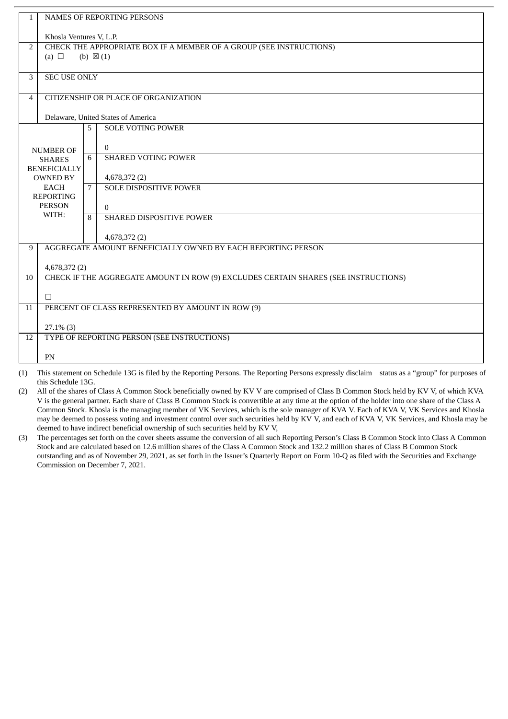| $\mathbf{1}$   | NAMES OF REPORTING PERSONS                                                                               |   |                                                                                                                                                    |  |  |  |  |
|----------------|----------------------------------------------------------------------------------------------------------|---|----------------------------------------------------------------------------------------------------------------------------------------------------|--|--|--|--|
|                | Khosla Ventures V, L.P.                                                                                  |   |                                                                                                                                                    |  |  |  |  |
| 2              | CHECK THE APPROPRIATE BOX IF A MEMBER OF A GROUP (SEE INSTRUCTIONS)<br>(a) $\Box$<br>(b) $\boxtimes$ (1) |   |                                                                                                                                                    |  |  |  |  |
|                |                                                                                                          |   |                                                                                                                                                    |  |  |  |  |
| 3              | <b>SEC USE ONLY</b>                                                                                      |   |                                                                                                                                                    |  |  |  |  |
| $\overline{4}$ | CITIZENSHIP OR PLACE OF ORGANIZATION                                                                     |   |                                                                                                                                                    |  |  |  |  |
|                | Delaware, United States of America                                                                       |   |                                                                                                                                                    |  |  |  |  |
|                |                                                                                                          | 5 | <b>SOLE VOTING POWER</b>                                                                                                                           |  |  |  |  |
|                | <b>NUMBER OF</b>                                                                                         |   | $\overline{0}$                                                                                                                                     |  |  |  |  |
|                | <b>SHARES</b>                                                                                            | 6 | <b>SHARED VOTING POWER</b>                                                                                                                         |  |  |  |  |
|                | <b>BENEFICIALLY</b><br><b>OWNED BY</b>                                                                   |   | 4,678,372 (2)                                                                                                                                      |  |  |  |  |
|                | <b>EACH</b>                                                                                              |   | <b>SOLE DISPOSITIVE POWER</b>                                                                                                                      |  |  |  |  |
|                | <b>REPORTING</b><br><b>PERSON</b>                                                                        |   | $\theta$                                                                                                                                           |  |  |  |  |
|                | WITH:                                                                                                    |   | SHARED DISPOSITIVE POWER                                                                                                                           |  |  |  |  |
|                | 4,678,372 (2)                                                                                            |   |                                                                                                                                                    |  |  |  |  |
| 9              | AGGREGATE AMOUNT BENEFICIALLY OWNED BY EACH REPORTING PERSON                                             |   |                                                                                                                                                    |  |  |  |  |
|                | 4,678,372 (2)                                                                                            |   |                                                                                                                                                    |  |  |  |  |
| 10             |                                                                                                          |   | CHECK IF THE AGGREGATE AMOUNT IN ROW (9) EXCLUDES CERTAIN SHARES (SEE INSTRUCTIONS)                                                                |  |  |  |  |
|                | п                                                                                                        |   |                                                                                                                                                    |  |  |  |  |
| 11             | PERCENT OF CLASS REPRESENTED BY AMOUNT IN ROW (9)                                                        |   |                                                                                                                                                    |  |  |  |  |
|                | $27.1\%$ (3)                                                                                             |   |                                                                                                                                                    |  |  |  |  |
| 12             |                                                                                                          |   | TYPE OF REPORTING PERSON (SEE INSTRUCTIONS)                                                                                                        |  |  |  |  |
|                | PN                                                                                                       |   |                                                                                                                                                    |  |  |  |  |
|                |                                                                                                          |   | (1) This statement on Schedule 13G is filed by the Reporting Persons. The Reporting Persons expressly disclaim status as a "group" for purposes of |  |  |  |  |

(2) All of the shares of Class A Common Stock beneficially owned by KV V are comprised of Class B Common Stock held by KV V, of which KVA V is the general partner. Each share of Class B Common Stock is convertible at any time at the option of the holder into one share of the Class A Common Stock. Khosla is the managing member of VK Services, which is the sole manager of KVA V. Each of KVA V, VK Services and Khosla may be deemed to possess voting and investment control over such securities held by KV V, and each of KVA V, VK Services, and Khosla may be deemed to have indirect beneficial ownership of such securities held by KV V,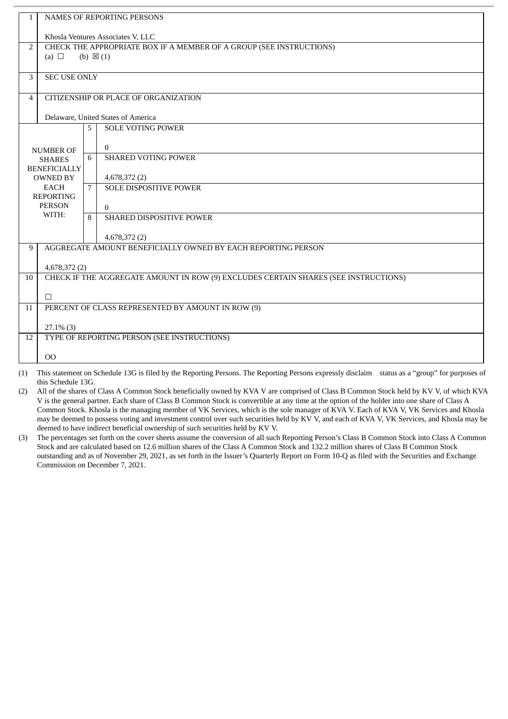| $\mathbf{1}$   | NAMES OF REPORTING PERSONS                                          |   |                                                                                                                                                    |  |  |  |  |  |
|----------------|---------------------------------------------------------------------|---|----------------------------------------------------------------------------------------------------------------------------------------------------|--|--|--|--|--|
|                | Khosla Ventures Associates V, LLC                                   |   |                                                                                                                                                    |  |  |  |  |  |
| 2              | CHECK THE APPROPRIATE BOX IF A MEMBER OF A GROUP (SEE INSTRUCTIONS) |   |                                                                                                                                                    |  |  |  |  |  |
|                | (a) $\Box$<br>(b) $\boxtimes$ (1)                                   |   |                                                                                                                                                    |  |  |  |  |  |
| 3              | <b>SEC USE ONLY</b>                                                 |   |                                                                                                                                                    |  |  |  |  |  |
| $\overline{4}$ | CITIZENSHIP OR PLACE OF ORGANIZATION                                |   |                                                                                                                                                    |  |  |  |  |  |
|                | Delaware, United States of America                                  |   |                                                                                                                                                    |  |  |  |  |  |
|                |                                                                     | 5 | <b>SOLE VOTING POWER</b>                                                                                                                           |  |  |  |  |  |
|                | <b>NUMBER OF</b>                                                    |   | $\overline{0}$                                                                                                                                     |  |  |  |  |  |
|                | <b>SHARES</b>                                                       |   | <b>SHARED VOTING POWER</b>                                                                                                                         |  |  |  |  |  |
|                | <b>BENEFICIALLY</b><br><b>OWNED BY</b>                              |   | 4,678,372 (2)                                                                                                                                      |  |  |  |  |  |
|                | <b>EACH</b><br><b>REPORTING</b>                                     |   | <b>SOLE DISPOSITIVE POWER</b>                                                                                                                      |  |  |  |  |  |
|                | <b>PERSON</b>                                                       |   | $\theta$                                                                                                                                           |  |  |  |  |  |
| WITH:          |                                                                     | 8 | SHARED DISPOSITIVE POWER                                                                                                                           |  |  |  |  |  |
|                | 4,678,372 (2)                                                       |   |                                                                                                                                                    |  |  |  |  |  |
| 9              |                                                                     |   | AGGREGATE AMOUNT BENEFICIALLY OWNED BY EACH REPORTING PERSON                                                                                       |  |  |  |  |  |
|                | 4,678,372 (2)                                                       |   |                                                                                                                                                    |  |  |  |  |  |
| 10             |                                                                     |   | CHECK IF THE AGGREGATE AMOUNT IN ROW (9) EXCLUDES CERTAIN SHARES (SEE INSTRUCTIONS)                                                                |  |  |  |  |  |
|                | п                                                                   |   |                                                                                                                                                    |  |  |  |  |  |
| 11             | PERCENT OF CLASS REPRESENTED BY AMOUNT IN ROW (9)                   |   |                                                                                                                                                    |  |  |  |  |  |
|                | $27.1\%$ (3)                                                        |   |                                                                                                                                                    |  |  |  |  |  |
| 12             |                                                                     |   | TYPE OF REPORTING PERSON (SEE INSTRUCTIONS)                                                                                                        |  |  |  |  |  |
|                | 0 <sup>0</sup>                                                      |   |                                                                                                                                                    |  |  |  |  |  |
|                |                                                                     |   | (1) This statement on Schedule 13G is filed by the Reporting Persons. The Reporting Persons expressly disclaim status as a "group" for purposes of |  |  |  |  |  |

(2) All of the shares of Class A Common Stock beneficially owned by KVA V are comprised of Class B Common Stock held by KV V, of which KVA V is the general partner. Each share of Class B Common Stock is convertible at any time at the option of the holder into one share of Class A Common Stock. Khosla is the managing member of VK Services, which is the sole manager of KVA V. Each of KVA V, VK Services and Khosla may be deemed to possess voting and investment control over such securities held by KV V, and each of KVA V, VK Services, and Khosla may be deemed to have indirect beneficial ownership of such securities held by KV V.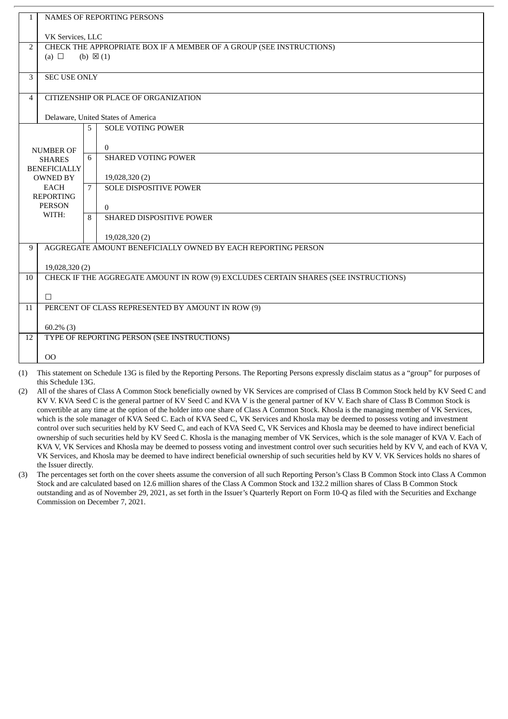| $\mathbf{1}$   |                                                                                                          | NAMES OF REPORTING PERSONS                                                                                                                         |  |  |  |  |
|----------------|----------------------------------------------------------------------------------------------------------|----------------------------------------------------------------------------------------------------------------------------------------------------|--|--|--|--|
|                | VK Services, LLC                                                                                         |                                                                                                                                                    |  |  |  |  |
| $\overline{2}$ | CHECK THE APPROPRIATE BOX IF A MEMBER OF A GROUP (SEE INSTRUCTIONS)<br>(a) $\Box$<br>(b) $\boxtimes$ (1) |                                                                                                                                                    |  |  |  |  |
| 3              | <b>SEC USE ONLY</b>                                                                                      |                                                                                                                                                    |  |  |  |  |
| 4              | CITIZENSHIP OR PLACE OF ORGANIZATION                                                                     |                                                                                                                                                    |  |  |  |  |
|                | Delaware, United States of America                                                                       |                                                                                                                                                    |  |  |  |  |
|                |                                                                                                          | <b>SOLE VOTING POWER</b><br>5                                                                                                                      |  |  |  |  |
|                | <b>NUMBER OF</b>                                                                                         | $\theta$                                                                                                                                           |  |  |  |  |
|                | <b>SHARES</b>                                                                                            | <b>SHARED VOTING POWER</b><br>6                                                                                                                    |  |  |  |  |
|                | <b>BENEFICIALLY</b><br><b>OWNED BY</b>                                                                   | 19,028,320 (2)                                                                                                                                     |  |  |  |  |
|                | <b>EACH</b><br><b>REPORTING</b>                                                                          | <b>SOLE DISPOSITIVE POWER</b><br>7                                                                                                                 |  |  |  |  |
|                | <b>PERSON</b>                                                                                            | $\overline{0}$                                                                                                                                     |  |  |  |  |
|                | WITH:                                                                                                    | SHARED DISPOSITIVE POWER<br>8                                                                                                                      |  |  |  |  |
|                |                                                                                                          | 19,028,320 (2)                                                                                                                                     |  |  |  |  |
| 9              |                                                                                                          | AGGREGATE AMOUNT BENEFICIALLY OWNED BY EACH REPORTING PERSON                                                                                       |  |  |  |  |
|                | 19,028,320 (2)                                                                                           |                                                                                                                                                    |  |  |  |  |
| 10             |                                                                                                          | CHECK IF THE AGGREGATE AMOUNT IN ROW (9) EXCLUDES CERTAIN SHARES (SEE INSTRUCTIONS)                                                                |  |  |  |  |
|                | П                                                                                                        |                                                                                                                                                    |  |  |  |  |
| 11             | PERCENT OF CLASS REPRESENTED BY AMOUNT IN ROW (9)                                                        |                                                                                                                                                    |  |  |  |  |
|                | $60.2\%$ (3)                                                                                             |                                                                                                                                                    |  |  |  |  |
| 12             |                                                                                                          | TYPE OF REPORTING PERSON (SEE INSTRUCTIONS)                                                                                                        |  |  |  |  |
|                | 00                                                                                                       |                                                                                                                                                    |  |  |  |  |
|                |                                                                                                          | (1) This statement on Schodule 12C is filed by the Penerting Dessens. The Penerting Dessens expressly disclaim status as a "group" for purposes of |  |  |  |  |

(2) All of the shares of Class A Common Stock beneficially owned by VK Services are comprised of Class B Common Stock held by KV Seed C and KV V. KVA Seed C is the general partner of KV Seed C and KVA V is the general partner of KV V. Each share of Class B Common Stock is convertible at any time at the option of the holder into one share of Class A Common Stock. Khosla is the managing member of VK Services, which is the sole manager of KVA Seed C. Each of KVA Seed C, VK Services and Khosla may be deemed to possess voting and investment control over such securities held by KV Seed C, and each of KVA Seed C, VK Services and Khosla may be deemed to have indirect beneficial ownership of such securities held by KV Seed C. Khosla is the managing member of VK Services, which is the sole manager of KVA V. Each of KVA V, VK Services and Khosla may be deemed to possess voting and investment control over such securities held by KV V, and each of KVA V, VK Services, and Khosla may be deemed to have indirect beneficial ownership of such securities held by KV V. VK Services holds no shares of the Issuer directly.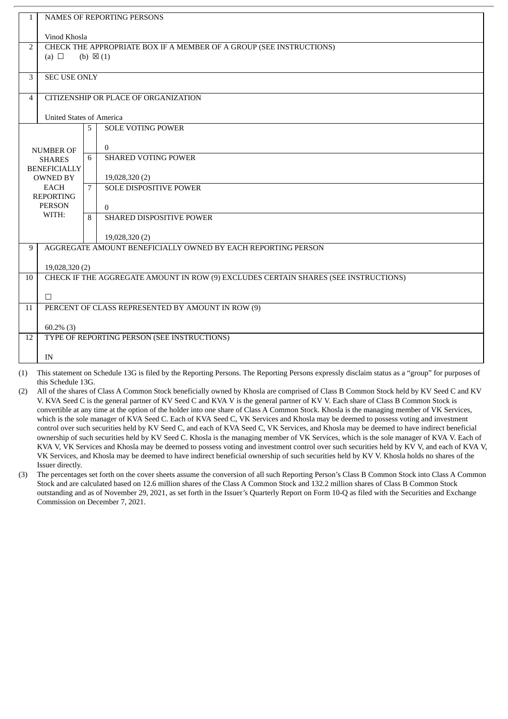| 1                |                                                                                     |                                                                                                                                                     |  |  |  |  |  |
|------------------|-------------------------------------------------------------------------------------|-----------------------------------------------------------------------------------------------------------------------------------------------------|--|--|--|--|--|
|                  | <b>NAMES OF REPORTING PERSONS</b>                                                   |                                                                                                                                                     |  |  |  |  |  |
|                  | Vinod Khosla                                                                        |                                                                                                                                                     |  |  |  |  |  |
| $\overline{2}$   | CHECK THE APPROPRIATE BOX IF A MEMBER OF A GROUP (SEE INSTRUCTIONS)                 |                                                                                                                                                     |  |  |  |  |  |
|                  | (a) $\Box$<br>(b) $\boxtimes$ (1)                                                   |                                                                                                                                                     |  |  |  |  |  |
|                  |                                                                                     |                                                                                                                                                     |  |  |  |  |  |
| 3                | <b>SEC USE ONLY</b>                                                                 |                                                                                                                                                     |  |  |  |  |  |
|                  |                                                                                     |                                                                                                                                                     |  |  |  |  |  |
| 4                |                                                                                     | CITIZENSHIP OR PLACE OF ORGANIZATION                                                                                                                |  |  |  |  |  |
|                  |                                                                                     |                                                                                                                                                     |  |  |  |  |  |
|                  | <b>United States of America</b>                                                     |                                                                                                                                                     |  |  |  |  |  |
|                  |                                                                                     | <b>SOLE VOTING POWER</b><br>5                                                                                                                       |  |  |  |  |  |
|                  |                                                                                     | $\overline{0}$                                                                                                                                      |  |  |  |  |  |
|                  | <b>NUMBER OF</b>                                                                    | <b>SHARED VOTING POWER</b><br>6                                                                                                                     |  |  |  |  |  |
|                  | <b>SHARES</b><br><b>BENEFICIALLY</b>                                                |                                                                                                                                                     |  |  |  |  |  |
|                  | <b>OWNED BY</b>                                                                     | 19,028,320 (2)                                                                                                                                      |  |  |  |  |  |
|                  | <b>EACH</b>                                                                         | <b>SOLE DISPOSITIVE POWER</b><br>7                                                                                                                  |  |  |  |  |  |
| <b>REPORTING</b> |                                                                                     |                                                                                                                                                     |  |  |  |  |  |
|                  | <b>PERSON</b>                                                                       | $\Omega$                                                                                                                                            |  |  |  |  |  |
| WITH:            |                                                                                     | SHARED DISPOSITIVE POWER<br>8                                                                                                                       |  |  |  |  |  |
|                  |                                                                                     |                                                                                                                                                     |  |  |  |  |  |
|                  |                                                                                     | 19,028,320 (2)                                                                                                                                      |  |  |  |  |  |
| 9                |                                                                                     | AGGREGATE AMOUNT BENEFICIALLY OWNED BY EACH REPORTING PERSON                                                                                        |  |  |  |  |  |
|                  |                                                                                     |                                                                                                                                                     |  |  |  |  |  |
|                  | 19,028,320 (2)                                                                      |                                                                                                                                                     |  |  |  |  |  |
| 10               | CHECK IF THE AGGREGATE AMOUNT IN ROW (9) EXCLUDES CERTAIN SHARES (SEE INSTRUCTIONS) |                                                                                                                                                     |  |  |  |  |  |
|                  | П                                                                                   |                                                                                                                                                     |  |  |  |  |  |
| 11               | PERCENT OF CLASS REPRESENTED BY AMOUNT IN ROW (9)                                   |                                                                                                                                                     |  |  |  |  |  |
|                  |                                                                                     |                                                                                                                                                     |  |  |  |  |  |
|                  | $60.2\%$ (3)                                                                        |                                                                                                                                                     |  |  |  |  |  |
| 12               | TYPE OF REPORTING PERSON (SEE INSTRUCTIONS)                                         |                                                                                                                                                     |  |  |  |  |  |
|                  |                                                                                     |                                                                                                                                                     |  |  |  |  |  |
|                  | IN                                                                                  |                                                                                                                                                     |  |  |  |  |  |
|                  |                                                                                     | (1) This statement on Schodule 12C is filed by the Departing Dessens. The Departing Dessense expressly discloim status as a "group" for purposes of |  |  |  |  |  |

(2) All of the shares of Class A Common Stock beneficially owned by Khosla are comprised of Class B Common Stock held by KV Seed C and KV V. KVA Seed C is the general partner of KV Seed C and KVA V is the general partner of KV V. Each share of Class B Common Stock is convertible at any time at the option of the holder into one share of Class A Common Stock. Khosla is the managing member of VK Services, which is the sole manager of KVA Seed C. Each of KVA Seed C, VK Services and Khosla may be deemed to possess voting and investment control over such securities held by KV Seed C, and each of KVA Seed C, VK Services, and Khosla may be deemed to have indirect beneficial ownership of such securities held by KV Seed C. Khosla is the managing member of VK Services, which is the sole manager of KVA V. Each of KVA V, VK Services and Khosla may be deemed to possess voting and investment control over such securities held by KV V, and each of KVA V, VK Services, and Khosla may be deemed to have indirect beneficial ownership of such securities held by KV V. Khosla holds no shares of the Issuer directly.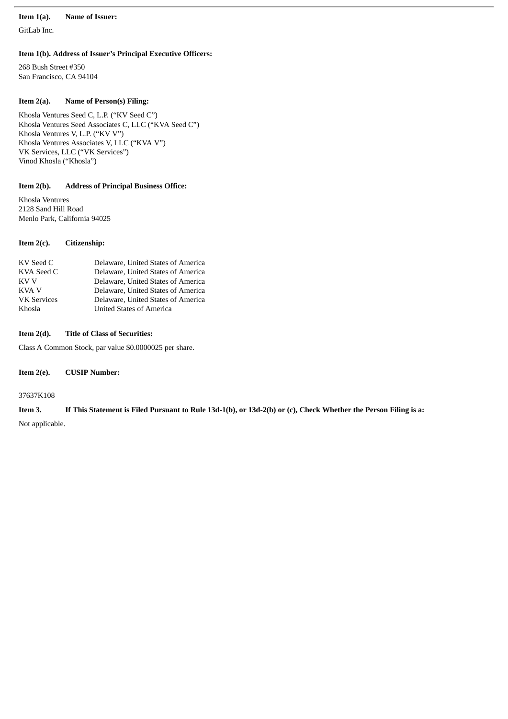### **Item 1(a). Name of Issuer:**

GitLab Inc.

### **Item 1(b). Address of Issuer's Principal Executive Officers:**

268 Bush Street #350 San Francisco, CA 94104

### **Item 2(a). Name of Person(s) Filing:**

Khosla Ventures Seed C, L.P. ("KV Seed C") Khosla Ventures Seed Associates C, LLC ("KVA Seed C") Khosla Ventures V, L.P. ("KV V") Khosla Ventures Associates V, LLC ("KVA V") VK Services, LLC ("VK Services") Vinod Khosla ("Khosla")

### **Item 2(b). Address of Principal Business Office:**

Khosla Ventures 2128 Sand Hill Road Menlo Park, California 94025

### **Item 2(c). Citizenship:**

### **Item 2(d). Title of Class of Securities:**

Class A Common Stock, par value \$0.0000025 per share.

### **Item 2(e). CUSIP Number:**

37637K108

# Item 3. If This Statement is Filed Pursuant to Rule 13d-1(b), or 13d-2(b) or (c), Check Whether the Person Filing is a:

Not applicable.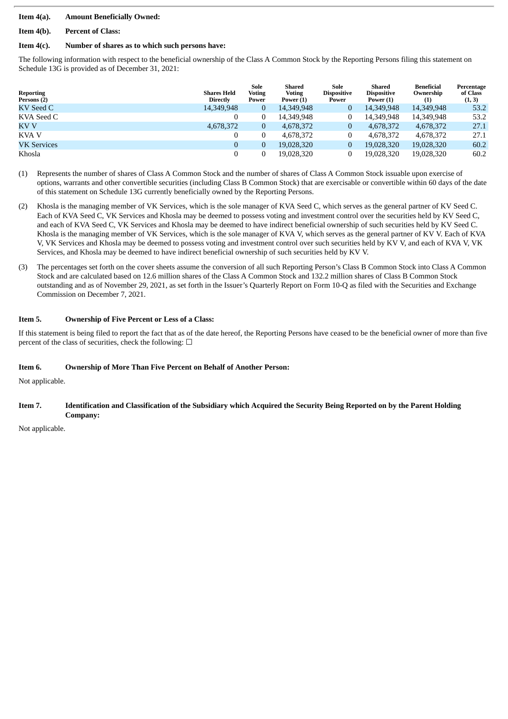### **Item 4(a). Amount Beneficially Owned:**

### **Item 4(b). Percent of Class:**

### **Item 4(c). Number of shares as to which such persons have:**

The following information with respect to the beneficial ownership of the Class A Common Stock by the Reporting Persons filing this statement on Schedule 13G is provided as of December 31, 2021:

| <b>Reporting</b><br>Persons (2) | <b>Shares Held</b><br><b>Directly</b> | Sole<br><b>Voting</b><br>Power | Shared<br><b>Voting</b><br>Power (1) | Sole<br><b>Dispositive</b><br>Power | Shared<br><b>Dispositive</b><br>Power (1) | Beneficial<br>Ownership<br>(1) | Percentage<br>of Class<br>(1, 3) |
|---------------------------------|---------------------------------------|--------------------------------|--------------------------------------|-------------------------------------|-------------------------------------------|--------------------------------|----------------------------------|
| KV Seed C                       | 14,349,948                            | 0                              | 14,349,948                           | $\bf{0}$                            | 14,349,948                                | 14,349,948                     | 53.2                             |
| KVA Seed C                      |                                       |                                | 14.349.948                           |                                     | 14.349.948                                | 14.349.948                     | 53.2                             |
| KV V                            | 4,678,372                             | 0                              | 4,678,372                            | 0                                   | 4,678,372                                 | 4,678,372                      | 27.1                             |
| KVA V                           |                                       |                                | 4,678,372                            |                                     | 4.678.372                                 | 4,678,372                      | 27.1                             |
| <b>VK Services</b>              | $\bf{0}$                              |                                | 19.028.320                           | 0                                   | 19.028.320                                | 19,028,320                     | 60.2                             |
| Khosla                          |                                       |                                | 19,028,320                           |                                     | 19.028.320                                | 19,028,320                     | 60.2                             |

- (1) Represents the number of shares of Class A Common Stock and the number of shares of Class A Common Stock issuable upon exercise of options, warrants and other convertible securities (including Class B Common Stock) that are exercisable or convertible within 60 days of the date of this statement on Schedule 13G currently beneficially owned by the Reporting Persons.
- (2) Khosla is the managing member of VK Services, which is the sole manager of KVA Seed C, which serves as the general partner of KV Seed C. Each of KVA Seed C, VK Services and Khosla may be deemed to possess voting and investment control over the securities held by KV Seed C, and each of KVA Seed C, VK Services and Khosla may be deemed to have indirect beneficial ownership of such securities held by KV Seed C. Khosla is the managing member of VK Services, which is the sole manager of KVA V, which serves as the general partner of KV V. Each of KVA V, VK Services and Khosla may be deemed to possess voting and investment control over such securities held by KV V, and each of KVA V, VK Services, and Khosla may be deemed to have indirect beneficial ownership of such securities held by KV V.
- (3) The percentages set forth on the cover sheets assume the conversion of all such Reporting Person's Class B Common Stock into Class A Common Stock and are calculated based on 12.6 million shares of the Class A Common Stock and 132.2 million shares of Class B Common Stock outstanding and as of November 29, 2021, as set forth in the Issuer's Quarterly Report on Form 10-Q as filed with the Securities and Exchange Commission on December 7, 2021.

### **Item 5. Ownership of Five Percent or Less of a Class:**

If this statement is being filed to report the fact that as of the date hereof, the Reporting Persons have ceased to be the beneficial owner of more than five percent of the class of securities, check the following:  $\Box$ 

### **Item 6. Ownership of More Than Five Percent on Behalf of Another Person:**

Not applicable.

### Item 7. Identification and Classification of the Subsidiary which Acquired the Security Being Reported on by the Parent Holding **Company:**

Not applicable.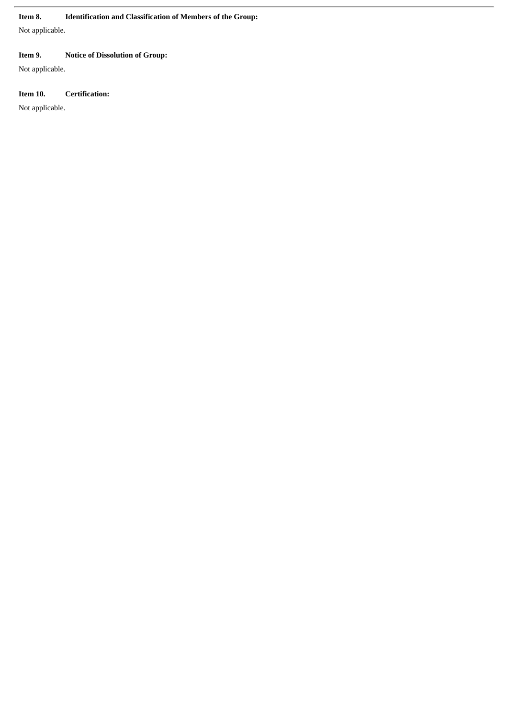### **Item 8. Identification and Classification of Members of the Group:**

Not applicable.

### **Item 9. Notice of Dissolution of Group:**

Not applicable.

### **Item 10. Certification:**

Not applicable.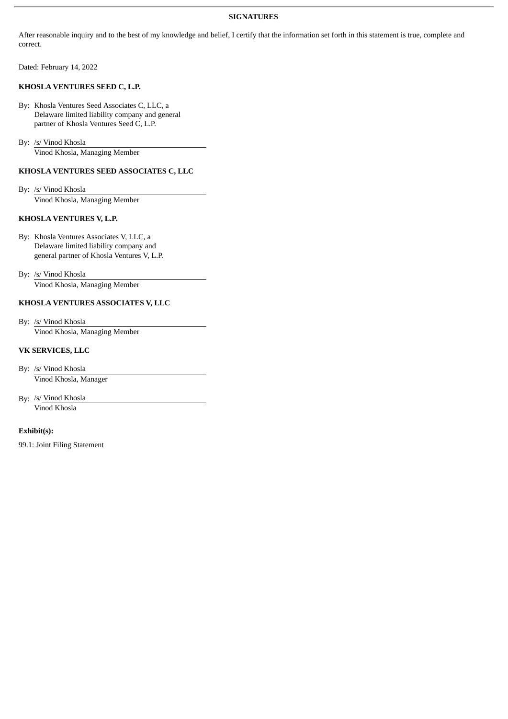### **SIGNATURES**

After reasonable inquiry and to the best of my knowledge and belief, I certify that the information set forth in this statement is true, complete and correct.

Dated: February 14, 2022

### **KHOSLA VENTURES SEED C, L.P.**

By: Khosla Ventures Seed Associates C, LLC, a Delaware limited liability company and general partner of Khosla Ventures Seed C, L.P.

By: /s/ Vinod Khosla

Vinod Khosla, Managing Member

### **KHOSLA VENTURES SEED ASSOCIATES C, LLC**

By: /s/ Vinod Khosla Vinod Khosla, Managing Member

### **KHOSLA VENTURES V, L.P.**

By: Khosla Ventures Associates V, LLC, a Delaware limited liability company and general partner of Khosla Ventures V, L.P.

By: /s/ Vinod Khosla Vinod Khosla, Managing Member

### **KHOSLA VENTURES ASSOCIATES V, LLC**

By: /s/ Vinod Khosla Vinod Khosla, Managing Member

### **VK SERVICES, LLC**

By: /s/ Vinod Khosla Vinod Khosla, Manager

By: /s/ Vinod Khosla Vinod Khosla

### **Exhibit(s):**

99.1: Joint Filing Statement